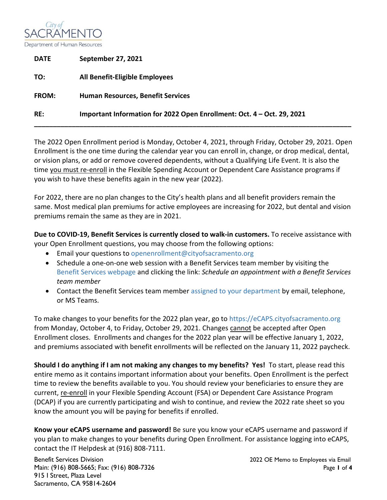

| <b>DATE</b>  | <b>September 27, 2021</b>                                              |
|--------------|------------------------------------------------------------------------|
| TO:          | All Benefit-Eligible Employees                                         |
| <b>FROM:</b> | <b>Human Resources, Benefit Services</b>                               |
| RE:          | Important Information for 2022 Open Enrollment: Oct. 4 – Oct. 29, 2021 |
|              |                                                                        |

The 2022 Open Enrollment period is Monday, October 4, 2021, through Friday, October 29, 2021. Open Enrollment is the one time during the calendar year you can enroll in, change, or drop medical, dental, or vision plans, or add or remove covered dependents, without a Qualifying Life Event. It is also the time you must re-enroll in the Flexible Spending Account or Dependent Care Assistance programs if you wish to have these benefits again in the new year (2022).

For 2022, there are no plan changes to the City's health plans and all benefit providers remain the same. Most medical plan premiums for active employees are increasing for 2022, but dental and vision premiums remain the same as they are in 2021.

**Due to COVID-19, Benefit Services is currently closed to walk-in customers.** To receive assistance with your Open Enrollment questions, you may choose from the following options:

- Email your questions to [openenrollment@cityofsacramento.org](mailto:openenrollment@cityofsacramento.org)
- Schedule a one-on-one web session with a Benefit Services team member by visiting the [Benefit Services webpage](http://www.cityofsacramento.org/HR/Divisions/Benefits-Retirement) and clicking the link: *Schedule an appointment with a Benefit Services team member*
- Contact the Benefit Services team member [assigned to your department](https://nexus.cityofsacramento.org/Departments/HR/Divisions/Benefits) by email, telephone, or MS Teams.

To make changes to your benefits for the 2022 plan year, go to [https://eCAPS.cityofsacramento.org](https://ecaps.cityofsacramento.org/) from Monday, October 4, to Friday, October 29, 2021. Changes cannot be accepted after Open Enrollment closes. Enrollments and changes for the 2022 plan year will be effective January 1, 2022, and premiums associated with benefit enrollments will be reflected on the January 11, 2022 paycheck.

**Should I do anything if I am not making any changes to my benefits? Yes!** To start, please read this entire memo as it contains important information about your benefits. Open Enrollment is the perfect time to review the benefits available to you. You should review your beneficiaries to ensure they are current, re-enroll in your Flexible Spending Account (FSA) or Dependent Care Assistance Program (DCAP) if you are currently participating and wish to continue, and review the 2022 rate sheet so you know the amount you will be paying for benefits if enrolled.

**Know your eCAPS username and password!** Be sure you know your eCAPS username and password if you plan to make changes to your benefits during Open Enrollment. For assistance logging into eCAPS, contact the IT Helpdesk at (916) 808-7111.

Benefit Services Division 2022 OE Memo to Employees via Email Main: (916) 808-5665; Fax: (916) 808-7326 Page **1** of **4** 915 I Street, Plaza Level Sacramento, CA 95814-2604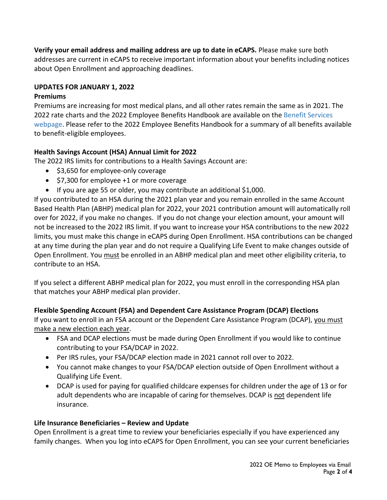**Verify your email address and mailing address are up to date in eCAPS.** Please make sure both addresses are current in eCAPS to receive important information about your benefits including notices about Open Enrollment and approaching deadlines.

### **UPDATES FOR JANUARY 1, 2022**

#### **Premiums**

Premiums are increasing for most medical plans, and all other rates remain the same as in 2021. The 2022 rate charts and the 2022 Employee Benefits Handbook are available on the [Benefit Services](http://www.cityofsacramento.org/HR/Divisions/Benefits-Retirement)  [webpage.](http://www.cityofsacramento.org/HR/Divisions/Benefits-Retirement) Please refer to the 2022 Employee Benefits Handbook for a summary of all benefits available to benefit-eligible employees.

## **Health Savings Account (HSA) Annual Limit for 2022**

The 2022 IRS limits for contributions to a Health Savings Account are:

- \$3,650 for employee-only coverage
- \$7,300 for employee +1 or more coverage
- If you are age 55 or older, you may contribute an additional \$1,000.

If you contributed to an HSA during the 2021 plan year and you remain enrolled in the same Account Based Health Plan (ABHP) medical plan for 2022, your 2021 contribution amount will automatically roll over for 2022, if you make no changes. If you do not change your election amount, your amount will not be increased to the 2022 IRS limit. If you want to increase your HSA contributions to the new 2022 limits, you must make this change in eCAPS during Open Enrollment. HSA contributions can be changed at any time during the plan year and do not require a Qualifying Life Event to make changes outside of Open Enrollment. You must be enrolled in an ABHP medical plan and meet other eligibility criteria, to contribute to an HSA.

If you select a different ABHP medical plan for 2022, you must enroll in the corresponding HSA plan that matches your ABHP medical plan provider.

## **Flexible Spending Account (FSA) and Dependent Care Assistance Program (DCAP) Elections**

If you want to enroll in an FSA account or the Dependent Care Assistance Program (DCAP), you must make a new election each year.

- FSA and DCAP elections must be made during Open Enrollment if you would like to continue contributing to your FSA/DCAP in 2022.
- Per IRS rules, your FSA/DCAP election made in 2021 cannot roll over to 2022.
- You cannot make changes to your FSA/DCAP election outside of Open Enrollment without a Qualifying Life Event.
- DCAP is used for paying for qualified childcare expenses for children under the age of 13 or for adult dependents who are incapable of caring for themselves. DCAP is not dependent life insurance.

## **Life Insurance Beneficiaries – Review and Update**

Open Enrollment is a great time to review your beneficiaries especially if you have experienced any family changes. When you log into eCAPS for Open Enrollment, you can see your current beneficiaries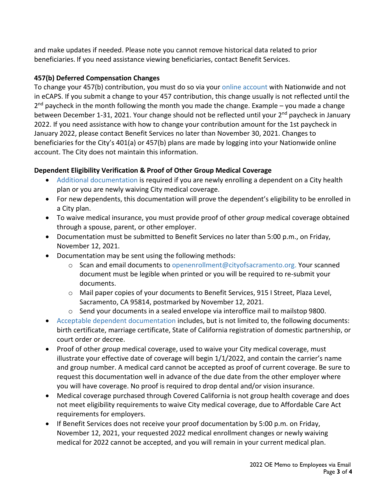and make updates if needed. Please note you cannot remove historical data related to prior beneficiaries. If you need assistance viewing beneficiaries, contact Benefit Services.

# **457(b) Deferred Compensation Changes**

To change your 457(b) contribution, you must do so via your [online account](https://www.cityofsacretplan.com/iApp/tcm/cityofsacretplan/index.jsp) with Nationwide and not in eCAPS. If you submit a change to your 457 contribution, this change usually is not reflected until the  $2<sup>nd</sup>$  paycheck in the month following the month you made the change. Example – you made a change between December 1-31, 2021. Your change should not be reflected until your  $2<sup>nd</sup>$  paycheck in January 2022. If you need assistance with how to change your contribution amount for the 1st paycheck in January 2022, please contact Benefit Services no later than November 30, 2021. Changes to beneficiaries for the City's 401(a) or 457(b) plans are made by logging into your Nationwide online account. The City does not maintain this information.

# **Dependent Eligibility Verification & Proof of Other Group Medical Coverage**

- [Additional documentation](http://www.cityofsacramento.org/-/media/Corporate/Files/HR/Divisions/Benefits/Acceptable-Documents-for-Life-Events.pdf?la=en) is required if you are newly enrolling a dependent on a City health plan or you are newly waiving City medical coverage.
- For new dependents, this documentation will prove the dependent's eligibility to be enrolled in a City plan.
- To waive medical insurance, you must provide proof of other *group* medical coverage obtained through a spouse, parent, or other employer.
- Documentation must be submitted to Benefit Services no later than 5:00 p.m., on Friday, November 12, 2021.
- Documentation may be sent using the following methods:
	- $\circ$  Scan and email documents to [openenrollment@cityofsacramento.org.](mailto:openenrollment@cityofsacramento.org) Your scanned document must be legible when printed or you will be required to re-submit your documents.
	- o Mail paper copies of your documents to Benefit Services, 915 I Street, Plaza Level, Sacramento, CA 95814, postmarked by November 12, 2021.
	- $\circ$  Send your documents in a sealed envelope via interoffice mail to mailstop 9800.
- Acceptable [dependent documentation](http://www.cityofsacramento.org/-/media/Corporate/Files/HR/Divisions/Benefits/Acceptable-Documents-for-Life-Events.pdf?la=en) includes, but is not limited to, the following documents: birth certificate, marriage certificate, State of California registration of domestic partnership, or court order or decree.
- Proof of other *group* medical coverage, used to waive your City medical coverage, must illustrate your effective date of coverage will begin 1/1/2022, and contain the carrier's name and group number. A medical card cannot be accepted as proof of current coverage. Be sure to request this documentation well in advance of the due date from the other employer where you will have coverage. No proof is required to drop dental and/or vision insurance.
- Medical coverage purchased through Covered California is not group health coverage and does not meet eligibility requirements to waive City medical coverage, due to Affordable Care Act requirements for employers.
- If Benefit Services does not receive your proof documentation by 5:00 p.m. on Friday, November 12, 2021, your requested 2022 medical enrollment changes or newly waiving medical for 2022 cannot be accepted, and you will remain in your current medical plan.